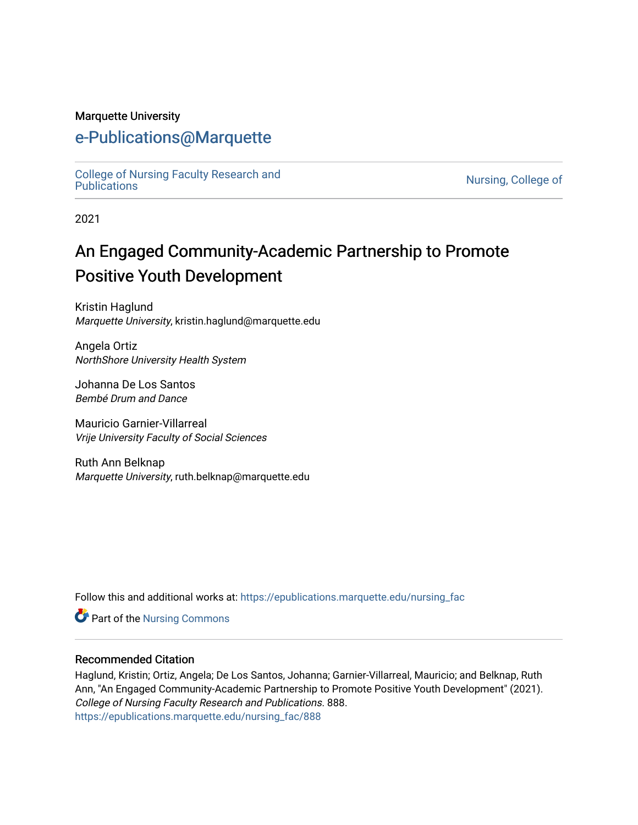# Marquette University

# [e-Publications@Marquette](https://epublications.marquette.edu/)

[College of Nursing Faculty Research and](https://epublications.marquette.edu/nursing_fac)<br>Publications

Nursing, College of

2021

# An Engaged Community-Academic Partnership to Promote Positive Youth Development

Kristin Haglund Marquette University, kristin.haglund@marquette.edu

Angela Ortiz NorthShore University Health System

Johanna De Los Santos Bembé Drum and Dance

Mauricio Garnier-Villarreal Vrije University Faculty of Social Sciences

Ruth Ann Belknap Marquette University, ruth.belknap@marquette.edu

Follow this and additional works at: [https://epublications.marquette.edu/nursing\\_fac](https://epublications.marquette.edu/nursing_fac?utm_source=epublications.marquette.edu%2Fnursing_fac%2F888&utm_medium=PDF&utm_campaign=PDFCoverPages)

**Part of the Nursing Commons** 

# Recommended Citation

Haglund, Kristin; Ortiz, Angela; De Los Santos, Johanna; Garnier-Villarreal, Mauricio; and Belknap, Ruth Ann, "An Engaged Community-Academic Partnership to Promote Positive Youth Development" (2021). College of Nursing Faculty Research and Publications. 888. [https://epublications.marquette.edu/nursing\\_fac/888](https://epublications.marquette.edu/nursing_fac/888?utm_source=epublications.marquette.edu%2Fnursing_fac%2F888&utm_medium=PDF&utm_campaign=PDFCoverPages)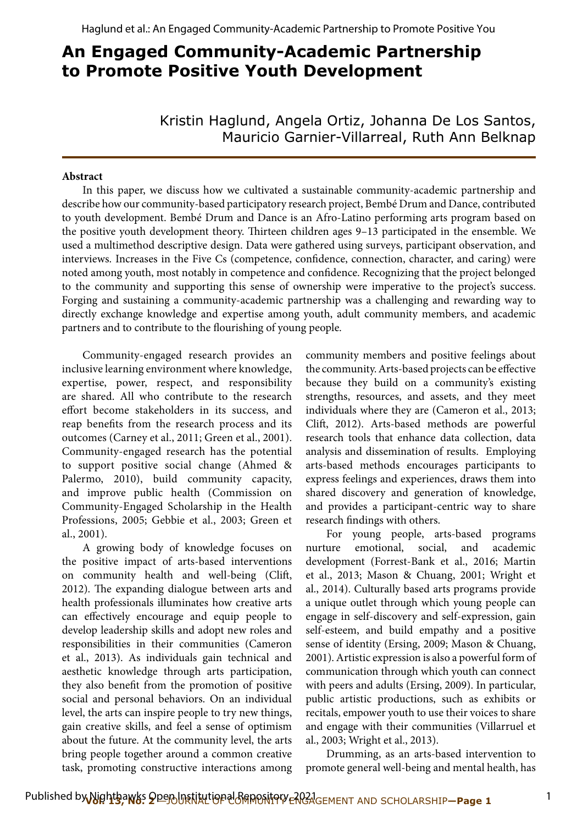# **An Engaged Community-Academic Partnership to Promote Positive Youth Development**

Kristin Haglund, Angela Ortiz, Johanna De Los Santos, Mauricio Garnier-Villarreal, Ruth Ann Belknap

### **Abstract**

In this paper, we discuss how we cultivated a sustainable community-academic partnership and describe how our community-based participatory research project, Bembé Drum and Dance, contributed to youth development. Bembé Drum and Dance is an Afro-Latino performing arts program based on the positive youth development theory. Thirteen children ages 9-13 participated in the ensemble. We used a multimethod descriptive design. Data were gathered using surveys, participant observation, and interviews. Increases in the Five Cs (competence, confdence, connection, character, and caring) were noted among youth, most notably in competence and confdence. Recognizing that the project belonged to the community and supporting this sense of ownership were imperative to the project's success. Forging and sustaining a community-academic partnership was a challenging and rewarding way to directly exchange knowledge and expertise among youth, adult community members, and academic partners and to contribute to the flourishing of young people.

Community-engaged research provides an inclusive learning environment where knowledge, expertise, power, respect, and responsibility are shared. All who contribute to the research efort become stakeholders in its success, and reap benefts from the research process and its outcomes (Carney et al., 2011; Green et al., 2001). Community-engaged research has the potential to support positive social change (Ahmed & Palermo, 2010), build community capacity, and improve public health (Commission on Community-Engaged Scholarship in the Health Professions, 2005; Gebbie et al., 2003; Green et al., 2001).

A growing body of knowledge focuses on the positive impact of arts-based interventions on community health and well-being (Clif, 2012). The expanding dialogue between arts and health professionals illuminates how creative arts can efectively encourage and equip people to develop leadership skills and adopt new roles and responsibilities in their communities (Cameron et al., 2013). As individuals gain technical and aesthetic knowledge through arts participation, they also beneft from the promotion of positive social and personal behaviors. On an individual level, the arts can inspire people to try new things, gain creative skills, and feel a sense of optimism about the future. At the community level, the arts bring people together around a common creative task, promoting constructive interactions among community members and positive feelings about the community. Arts-based projects can be efective because they build on a community's existing strengths, resources, and assets, and they meet individuals where they are (Cameron et al., 2013; Clif, 2012). Arts-based methods are powerful research tools that enhance data collection, data analysis and dissemination of results. Employing arts-based methods encourages participants to express feelings and experiences, draws them into shared discovery and generation of knowledge, and provides a participant-centric way to share research fndings with others.

For young people, arts-based programs nurture emotional, social, and academic development (Forrest-Bank et al., 2016; Martin et al., 2013; Mason & Chuang, 2001; Wright et al., 2014). Culturally based arts programs provide a unique outlet through which young people can engage in self-discovery and self-expression, gain self-esteem, and build empathy and a positive sense of identity (Ersing, 2009; Mason & Chuang, 2001). Artistic expression is also a powerful form of communication through which youth can connect with peers and adults (Ersing, 2009). In particular, public artistic productions, such as exhibits or recitals, empower youth to use their voices to share and engage with their communities (Villarruel et al., 2003; Wright et al., 2013).

Drumming, as an arts-based intervention to promote general well-being and mental health, has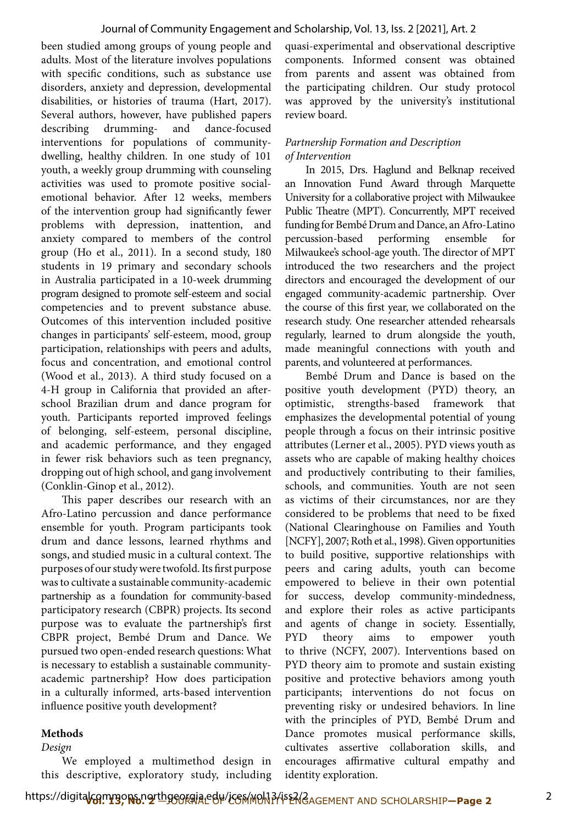been studied among groups of young people and adults. Most of the literature involves populations with specifc conditions, such as substance use disorders, anxiety and depression, developmental disabilities, or histories of trauma (Hart, 2017). Several authors, however, have published papers describing drumming- and dance-focused interventions for populations of communitydwelling, healthy children. In one study of 101 youth, a weekly group drumming with counseling activities was used to promote positive socialemotional behavior. Afer 12 weeks, members of the intervention group had signifcantly fewer problems with depression, inattention, and anxiety compared to members of the control group (Ho et al., 2011). In a second study, 180 students in 19 primary and secondary schools in Australia participated in a 10-week drumming program designed to promote self-esteem and social competencies and to prevent substance abuse. Outcomes of this intervention included positive changes in participants' self-esteem, mood, group participation, relationships with peers and adults, focus and concentration, and emotional control (Wood et al., 2013). A third study focused on a 4-H group in California that provided an aferschool Brazilian drum and dance program for youth. Participants reported improved feelings of belonging, self-esteem, personal discipline, and academic performance, and they engaged in fewer risk behaviors such as teen pregnancy, dropping out of high school, and gang involvement (Conklin-Ginop et al., 2012).

This paper describes our research with an Afro-Latino percussion and dance performance ensemble for youth. Program participants took drum and dance lessons, learned rhythms and songs, and studied music in a cultural context. The purposes of our study were twofold. Its frst purpose was to cultivate a sustainable community-academic partnership as a foundation for community-based participatory research (CBPR) projects. Its second purpose was to evaluate the partnership's frst CBPR project, Bembé Drum and Dance. We pursued two open-ended research questions: What is necessary to establish a sustainable communityacademic partnership? How does participation in a culturally informed, arts-based intervention infuence positive youth development?

# **Methods**

# *Design*

We employed a multimethod design in this descriptive, exploratory study, including quasi-experimental and observational descriptive components. Informed consent was obtained from parents and assent was obtained from the participating children. Our study protocol was approved by the university's institutional review board.

# *Partnership Formation and Description of Intervention*

In 2015, Drs. Haglund and Belknap received an Innovation Fund Award through Marquette University for a collaborative project with Milwaukee Public Theatre (MPT). Concurrently, MPT received funding for Bembé Drum and Dance, an Afro-Latino percussion-based performing ensemble for Milwaukee's school-age youth. The director of MPT introduced the two researchers and the project directors and encouraged the development of our engaged community-academic partnership. Over the course of this frst year, we collaborated on the research study. One researcher attended rehearsals regularly, learned to drum alongside the youth, made meaningful connections with youth and parents, and volunteered at performances.

Bembé Drum and Dance is based on the positive youth development (PYD) theory, an optimistic, strengths-based framework that emphasizes the developmental potential of young people through a focus on their intrinsic positive attributes (Lerner et al., 2005). PYD views youth as assets who are capable of making healthy choices and productively contributing to their families, schools, and communities. Youth are not seen as victims of their circumstances, nor are they considered to be problems that need to be fxed (National Clearinghouse on Families and Youth [NCFY], 2007; Roth et al., 1998). Given opportunities to build positive, supportive relationships with peers and caring adults, youth can become empowered to believe in their own potential for success, develop community-mindedness, and explore their roles as active participants and agents of change in society. Essentially, PYD theory aims to empower youth to thrive (NCFY, 2007). Interventions based on PYD theory aim to promote and sustain existing positive and protective behaviors among youth participants; interventions do not focus on preventing risky or undesired behaviors. In line with the principles of PYD, Bembé Drum and Dance promotes musical performance skills, cultivates assertive collaboration skills, and encourages affirmative cultural empathy and identity exploration.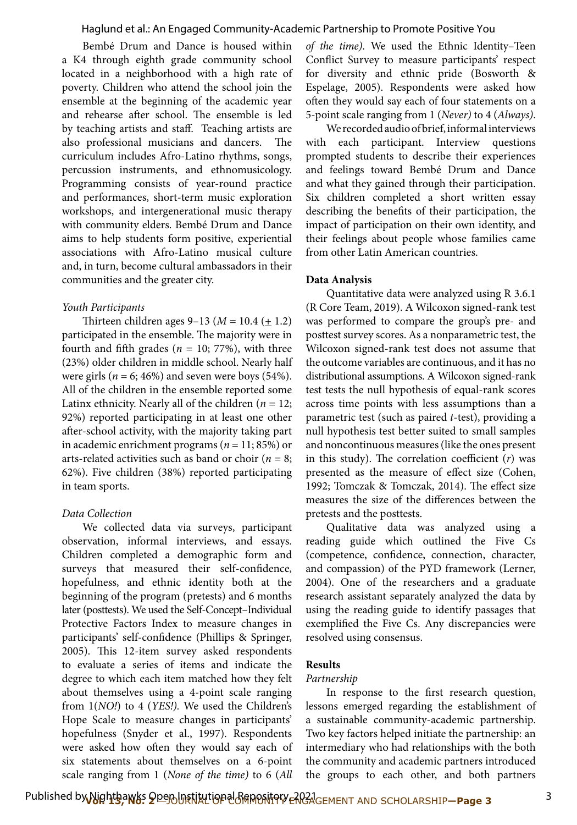Bembé Drum and Dance is housed within a K4 through eighth grade community school located in a neighborhood with a high rate of poverty. Children who attend the school join the ensemble at the beginning of the academic year and rehearse after school. The ensemble is led by teaching artists and staf. Teaching artists are also professional musicians and dancers. The curriculum includes Afro-Latino rhythms, songs, percussion instruments, and ethnomusicology. Programming consists of year-round practice and performances, short-term music exploration workshops, and intergenerational music therapy with community elders. Bembé Drum and Dance aims to help students form positive, experiential associations with Afro-Latino musical culture and, in turn, become cultural ambassadors in their communities and the greater city.

### *Youth Participants*

Thirteen children ages 9–13 (*M* = 10.4 (<u>+</u> 1.2) participated in the ensemble. The majority were in fourth and fifth grades ( $n = 10$ ; 77%), with three (23%) older children in middle school. Nearly half were girls ( $n = 6$ ; 46%) and seven were boys (54%). All of the children in the ensemble reported some Latinx ethnicity. Nearly all of the children  $(n = 12;$ 92%) reported participating in at least one other afer-school activity, with the majority taking part in academic enrichment programs (*n* = 11; 85%) or arts-related activities such as band or choir ( $n = 8$ ; 62%). Five children (38%) reported participating in team sports.

### *Data Collection*

We collected data via surveys, participant observation, informal interviews, and essays. Children completed a demographic form and surveys that measured their self-confdence, hopefulness, and ethnic identity both at the beginning of the program (pretests) and 6 months later (posttests). We used the Self-Concept–Individual Protective Factors Index to measure changes in participants' self-confdence (Phillips & Springer, 2005). This 12-item survey asked respondents to evaluate a series of items and indicate the degree to which each item matched how they felt about themselves using a 4-point scale ranging from 1(*NO!*) to 4 (*YES!).* We used the Children's Hope Scale to measure changes in participants' hopefulness (Snyder et al., 1997). Respondents were asked how often they would say each of six statements about themselves on a 6-point scale ranging from 1 (*None of the time)* to 6 (*All*  *of the time)*. We used the Ethnic Identity–Teen Confict Survey to measure participants' respect for diversity and ethnic pride (Bosworth & Espelage, 2005). Respondents were asked how often they would say each of four statements on a 5-point scale ranging from 1 (*Never)* to 4 (*Always)*.

We recorded audio of brief, informal interviews with each participant. Interview questions prompted students to describe their experiences and feelings toward Bembé Drum and Dance and what they gained through their participation. Six children completed a short written essay describing the benefts of their participation, the impact of participation on their own identity, and their feelings about people whose families came from other Latin American countries.

### **Data Analysis**

Quantitative data were analyzed using R 3.6.1 (R Core Team, 2019). A Wilcoxon signed-rank test was performed to compare the group's pre- and posttest survey scores. As a nonparametric test, the Wilcoxon signed-rank test does not assume that the outcome variables are continuous, and it has no distributional assumptions. A Wilcoxon signed-rank test tests the null hypothesis of equal-rank scores across time points with less assumptions than a parametric test (such as paired *t*-test), providing a null hypothesis test better suited to small samples and noncontinuous measures (like the ones present in this study). The correlation coefficient  $(r)$  was presented as the measure of efect size (Cohen, 1992; Tomczak & Tomczak, 2014). The effect size measures the size of the diferences between the pretests and the posttests.

Qualitative data was analyzed using a reading guide which outlined the Five Cs (competence, confdence, connection, character, and compassion) of the PYD framework (Lerner, 2004). One of the researchers and a graduate research assistant separately analyzed the data by using the reading guide to identify passages that exemplifed the Five Cs. Any discrepancies were resolved using consensus.

### **Results**

### *Partnership*

In response to the frst research question, lessons emerged regarding the establishment of a sustainable community-academic partnership. Two key factors helped initiate the partnership: an intermediary who had relationships with the both the community and academic partners introduced the groups to each other, and both partners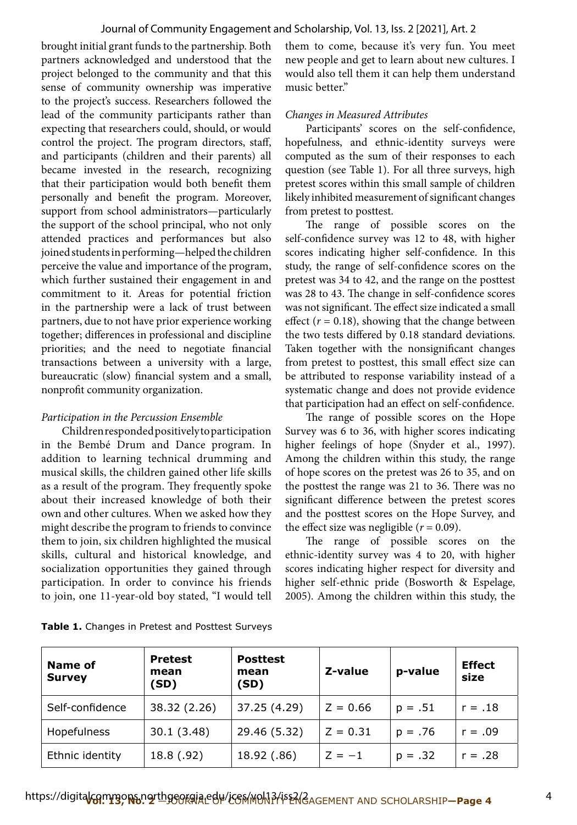brought initial grant funds to the partnership. Both them to come, because it's very fun. You meet partners acknowledged and understood that the new people and get to learn about new cultures. I project belonged to the community and that this would also tell them it can help them understand sense of community ownership was imperative music better." to the project's success. Researchers followed the lead of the community participants rather than *Changes in Measured Attributes* expecting that researchers could, should, or would Participants' scores on the self-confdence, control the project. The program directors, staff, hopefulness, and ethnic-identity surveys were and participants (children and their parents) all computed as the sum of their responses to each became invested in the research, recognizing question (see Table 1). For all three surveys, high that their participation would both beneft them pretest scores within this small sample of children personally and beneft the program. Moreover, likely inhibited measurement of signifcant changes support from school administrators—particularly from pretest to posttest. the support of the school principal, who not only The range of possible scores on the attended practices and performances but also self-confdence survey was 12 to 48, with higher joined students in performing—helped the children scores indicating higher self-confdence. In this perceive the value and importance of the program, study, the range of self-confdence scores on the which further sustained their engagement in and pretest was 34 to 42, and the range on the posttest commitment to it. Areas for potential friction was 28 to 43. The change in self-confidence scores in the partnership were a lack of trust between was not significant. The effect size indicated a small partners, due to not have prior experience working effect  $(r = 0.18)$ , showing that the change between together; diferences in professional and discipline the two tests difered by 0.18 standard deviations. priorities; and the need to negotiate fnancial Taken together with the nonsignifcant changes transactions between a university with a large, from pretest to posttest, this small efect size can bureaucratic (slow) fnancial system and a small, be attributed to response variability instead of a

in the Bembé Drum and Dance program. In higher feelings of hope (Snyder et al., 1997). addition to learning technical drumming and Among the children within this study, the range musical skills, the children gained other life skills of hope scores on the pretest was 26 to 35, and on as a result of the program. They frequently spoke the posttest the range was 21 to 36. There was no about their increased knowledge of both their signifcant diference between the pretest scores own and other cultures. When we asked how they and the posttest scores on the Hope Survey, and might describe the program to friends to convince the effect size was negligible  $(r = 0.09)$ . them to join, six children highlighted the musical The range of possible scores on the skills, cultural and historical knowledge, and ethnic-identity survey was 4 to 20, with higher socialization opportunities they gained through scores indicating higher respect for diversity and participation. In order to convince his friends higher self-ethnic pride (Bosworth & Espelage,

nonprofit community organization. systematic change and does not provide evidence that participation had an efect on self-confdence.

*Participation in the Percussion Ensemble* **The range of possible scores on the Hope** Children responded positively to participation Survey was 6 to 36, with higher scores indicating

to join, one 11-year-old boy stated, "I would tell 2005). Among the children within this study, the

| Name of<br><b>Survey</b> | <b>Pretest</b><br>mean<br>(SD) | <b>Posttest</b><br>mean<br>(SD) | Z-value    | p-value   | <b>Effect</b><br>size |
|--------------------------|--------------------------------|---------------------------------|------------|-----------|-----------------------|
| Self-confidence          | 38.32 (2.26)                   | 37.25 (4.29)                    | $Z = 0.66$ | $p = .51$ | $r = .18$             |
| Hopefulness              | 30.1(3.48)                     | 29.46 (5.32)                    | $Z = 0.31$ | $p = .76$ | $r = .09$             |
| Ethnic identity          | 18.8 (.92)                     | 18.92 (.86)                     | $Z = -1$   | $p = .32$ | $r = .28$             |

**Table 1.** Changes in Pretest and Posttest Surveys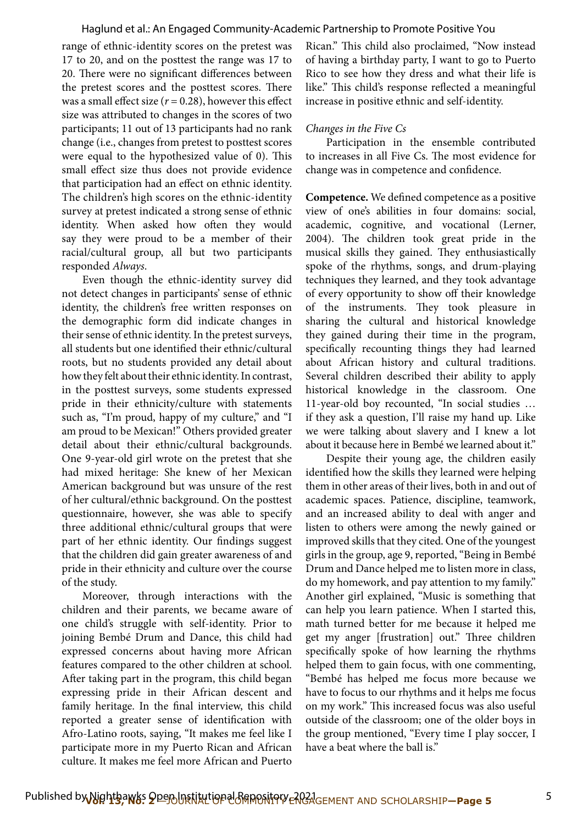range of ethnic-identity scores on the pretest was 17 to 20, and on the posttest the range was 17 to 20. There were no significant differences between the pretest scores and the posttest scores. There was a small effect size  $(r = 0.28)$ , however this effect size was attributed to changes in the scores of two participants; 11 out of 13 participants had no rank change (i.e., changes from pretest to posttest scores were equal to the hypothesized value of 0). This small efect size thus does not provide evidence that participation had an efect on ethnic identity. The children's high scores on the ethnic-identity survey at pretest indicated a strong sense of ethnic identity. When asked how often they would say they were proud to be a member of their racial/cultural group, all but two participants responded *Always*.

Even though the ethnic-identity survey did not detect changes in participants' sense of ethnic identity, the children's free written responses on the demographic form did indicate changes in their sense of ethnic identity. In the pretest surveys, all students but one identifed their ethnic/cultural roots, but no students provided any detail about how they felt about their ethnic identity. In contrast, in the posttest surveys, some students expressed pride in their ethnicity/culture with statements such as, "I'm proud, happy of my culture," and "I am proud to be Mexican!" Others provided greater detail about their ethnic/cultural backgrounds. One 9-year-old girl wrote on the pretest that she had mixed heritage: She knew of her Mexican American background but was unsure of the rest of her cultural/ethnic background. On the posttest questionnaire, however, she was able to specify three additional ethnic/cultural groups that were part of her ethnic identity. Our fndings suggest that the children did gain greater awareness of and pride in their ethnicity and culture over the course of the study.

Moreover, through interactions with the children and their parents, we became aware of one child's struggle with self-identity. Prior to joining Bembé Drum and Dance, this child had expressed concerns about having more African features compared to the other children at school. Afer taking part in the program, this child began expressing pride in their African descent and family heritage. In the fnal interview, this child reported a greater sense of identifcation with Afro-Latino roots, saying, "It makes me feel like I participate more in my Puerto Rican and African culture. It makes me feel more African and Puerto

Rican." This child also proclaimed, "Now instead of having a birthday party, I want to go to Puerto Rico to see how they dress and what their life is like." This child's response reflected a meaningful increase in positive ethnic and self-identity.

### *Changes in the Five Cs*

Participation in the ensemble contributed to increases in all Five Cs. The most evidence for change was in competence and confdence.

**Competence.** We defned competence as a positive view of one's abilities in four domains: social, academic, cognitive, and vocational (Lerner, 2004). The children took great pride in the musical skills they gained. They enthusiastically spoke of the rhythms, songs, and drum-playing techniques they learned, and they took advantage of every opportunity to show off their knowledge of the instruments. They took pleasure in sharing the cultural and historical knowledge they gained during their time in the program, specifcally recounting things they had learned about African history and cultural traditions. Several children described their ability to apply historical knowledge in the classroom. One 11-year-old boy recounted, "In social studies … if they ask a question, I'll raise my hand up. Like we were talking about slavery and I knew a lot about it because here in Bembé we learned about it."

Despite their young age, the children easily identifed how the skills they learned were helping them in other areas of their lives, both in and out of academic spaces. Patience, discipline, teamwork, and an increased ability to deal with anger and listen to others were among the newly gained or improved skills that they cited. One of the youngest girls in the group, age 9, reported, "Being in Bembé Drum and Dance helped me to listen more in class, do my homework, and pay attention to my family." Another girl explained, "Music is something that can help you learn patience. When I started this, math turned better for me because it helped me get my anger [frustration] out." Three children specifcally spoke of how learning the rhythms helped them to gain focus, with one commenting, "Bembé has helped me focus more because we have to focus to our rhythms and it helps me focus on my work." This increased focus was also useful outside of the classroom; one of the older boys in the group mentioned, "Every time I play soccer, I have a beat where the ball is."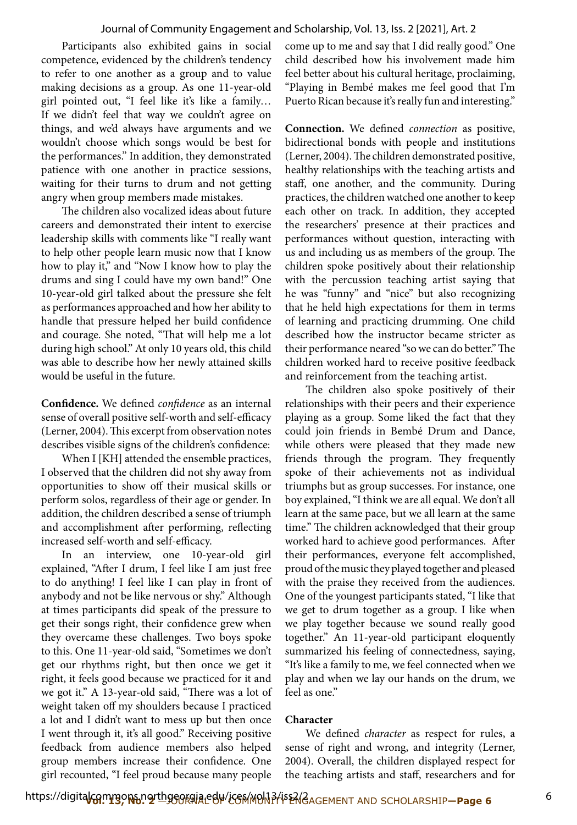### Journal of Community Engagement and Scholarship, Vol. 13, Iss. 2 [2021], Art. 2

Participants also exhibited gains in social competence, evidenced by the children's tendency to refer to one another as a group and to value making decisions as a group. As one 11-year-old girl pointed out, "I feel like it's like a family… If we didn't feel that way we couldn't agree on things, and we'd always have arguments and we wouldn't choose which songs would be best for the performances." In addition, they demonstrated patience with one another in practice sessions, waiting for their turns to drum and not getting angry when group members made mistakes.

The children also vocalized ideas about future careers and demonstrated their intent to exercise leadership skills with comments like "I really want to help other people learn music now that I know how to play it," and "Now I know how to play the drums and sing I could have my own band!" One 10-year-old girl talked about the pressure she felt as performances approached and how her ability to handle that pressure helped her build confdence and courage. She noted, "That will help me a lot during high school." At only 10 years old, this child was able to describe how her newly attained skills would be useful in the future.

**Confdence.** We defned *confdence* as an internal sense of overall positive self-worth and self-efficacy (Lerner, 2004). This excerpt from observation notes describes visible signs of the children's confdence:

When I [KH] attended the ensemble practices, I observed that the children did not shy away from opportunities to show off their musical skills or perform solos, regardless of their age or gender. In addition, the children described a sense of triumph and accomplishment afer performing, refecting increased self-worth and self-efficacy.

In an interview, one 10-year-old girl explained, "Afer I drum, I feel like I am just free to do anything! I feel like I can play in front of anybody and not be like nervous or shy." Although at times participants did speak of the pressure to get their songs right, their confdence grew when they overcame these challenges. Two boys spoke to this. One 11-year-old said, "Sometimes we don't get our rhythms right, but then once we get it right, it feels good because we practiced for it and we got it." A 13-year-old said, "There was a lot of weight taken off my shoulders because I practiced a lot and I didn't want to mess up but then once I went through it, it's all good." Receiving positive feedback from audience members also helped group members increase their confdence. One girl recounted, "I feel proud because many people

come up to me and say that I did really good." One child described how his involvement made him feel better about his cultural heritage, proclaiming, "Playing in Bembé makes me feel good that I'm Puerto Rican because it's really fun and interesting."

**Connection.** We defned *connection* as positive, bidirectional bonds with people and institutions (Lerner, 2004). The children demonstrated positive, healthy relationships with the teaching artists and staf, one another, and the community. During practices, the children watched one another to keep each other on track. In addition, they accepted the researchers' presence at their practices and performances without question, interacting with us and including us as members of the group. The children spoke positively about their relationship with the percussion teaching artist saying that he was "funny" and "nice" but also recognizing that he held high expectations for them in terms of learning and practicing drumming. One child described how the instructor became stricter as their performance neared "so we can do better." The children worked hard to receive positive feedback and reinforcement from the teaching artist.

The children also spoke positively of their relationships with their peers and their experience playing as a group. Some liked the fact that they could join friends in Bembé Drum and Dance, while others were pleased that they made new friends through the program. They frequently spoke of their achievements not as individual triumphs but as group successes. For instance, one boy explained, "I think we are all equal. We don't all learn at the same pace, but we all learn at the same time." The children acknowledged that their group worked hard to achieve good performances. Afer their performances, everyone felt accomplished, proud of the music they played together and pleased with the praise they received from the audiences. One of the youngest participants stated, "I like that we get to drum together as a group. I like when we play together because we sound really good together." An 11-year-old participant eloquently summarized his feeling of connectedness, saying, "It's like a family to me, we feel connected when we play and when we lay our hands on the drum, we feel as one."

### **Character**

We defned *character* as respect for rules, a sense of right and wrong, and integrity (Lerner, 2004). Overall, the children displayed respect for the teaching artists and staf, researchers and for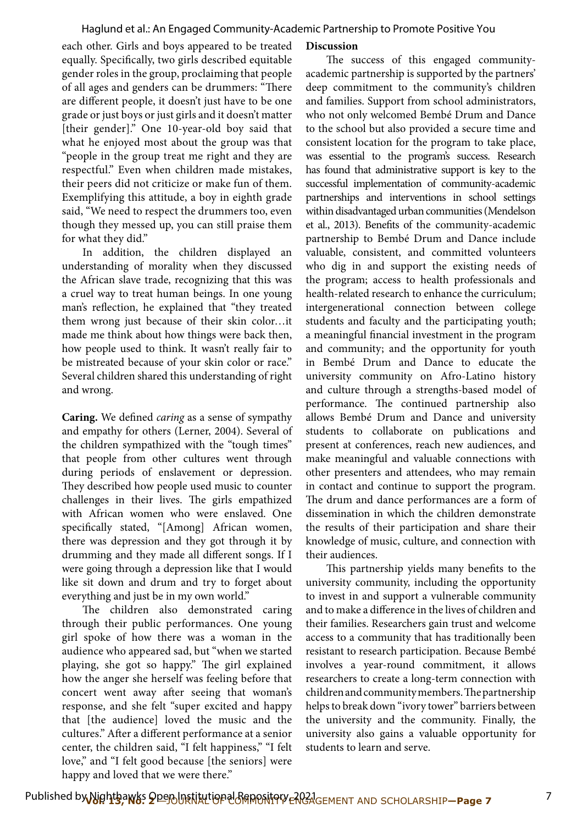each other. Girls and boys appeared to be treated equally. Specifcally, two girls described equitable gender roles in the group, proclaiming that people of all ages and genders can be drummers: "There are diferent people, it doesn't just have to be one grade or just boys or just girls and it doesn't matter [their gender]." One 10-year-old boy said that what he enjoyed most about the group was that "people in the group treat me right and they are respectful." Even when children made mistakes, their peers did not criticize or make fun of them. Exemplifying this attitude, a boy in eighth grade said, "We need to respect the drummers too, even though they messed up, you can still praise them for what they did."

In addition, the children displayed an understanding of morality when they discussed the African slave trade, recognizing that this was a cruel way to treat human beings. In one young man's refection, he explained that "they treated them wrong just because of their skin color…it made me think about how things were back then, how people used to think. It wasn't really fair to be mistreated because of your skin color or race." Several children shared this understanding of right and wrong.

**Caring.** We defned *caring* as a sense of sympathy and empathy for others (Lerner, 2004). Several of the children sympathized with the "tough times" that people from other cultures went through during periods of enslavement or depression. They described how people used music to counter challenges in their lives. The girls empathized with African women who were enslaved. One specifcally stated, "[Among] African women, there was depression and they got through it by drumming and they made all diferent songs. If I were going through a depression like that I would like sit down and drum and try to forget about everything and just be in my own world."

The children also demonstrated caring through their public performances. One young girl spoke of how there was a woman in the audience who appeared sad, but "when we started playing, she got so happy." The girl explained how the anger she herself was feeling before that concert went away after seeing that woman's response, and she felt "super excited and happy that [the audience] loved the music and the cultures." After a different performance at a senior center, the children said, "I felt happiness," "I felt love," and "I felt good because [the seniors] were happy and loved that we were there."

### **Discussion**

The success of this engaged communityacademic partnership is supported by the partners' deep commitment to the community's children and families. Support from school administrators, who not only welcomed Bembé Drum and Dance to the school but also provided a secure time and consistent location for the program to take place, was essential to the program's success. Research has found that administrative support is key to the successful implementation of community-academic partnerships and interventions in school settings within disadvantaged urban communities (Mendelson et al., 2013). Benefts of the community-academic partnership to Bembé Drum and Dance include valuable, consistent, and committed volunteers who dig in and support the existing needs of the program; access to health professionals and health-related research to enhance the curriculum; intergenerational connection between college students and faculty and the participating youth; a meaningful fnancial investment in the program and community; and the opportunity for youth in Bembé Drum and Dance to educate the university community on Afro-Latino history and culture through a strengths-based model of performance. The continued partnership also allows Bembé Drum and Dance and university students to collaborate on publications and present at conferences, reach new audiences, and make meaningful and valuable connections with other presenters and attendees, who may remain in contact and continue to support the program. The drum and dance performances are a form of dissemination in which the children demonstrate the results of their participation and share their knowledge of music, culture, and connection with their audiences.

This partnership yields many benefits to the university community, including the opportunity to invest in and support a vulnerable community and to make a diference in the lives of children and their families. Researchers gain trust and welcome access to a community that has traditionally been resistant to research participation. Because Bembé involves a year-round commitment, it allows researchers to create a long-term connection with children and community members. The partnership helps to break down "ivory tower" barriers between the university and the community. Finally, the university also gains a valuable opportunity for students to learn and serve.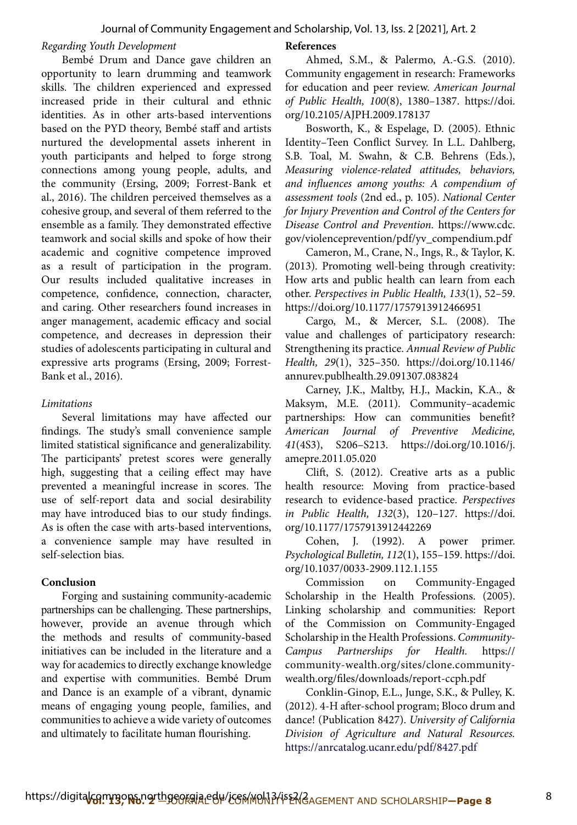## *Regarding Youth Development*

Bembé Drum and Dance gave children an opportunity to learn drumming and teamwork skills. The children experienced and expressed increased pride in their cultural and ethnic identities. As in other arts-based interventions based on the PYD theory, Bembé staff and artists nurtured the developmental assets inherent in youth participants and helped to forge strong connections among young people, adults, and the community (Ersing, 2009; Forrest-Bank et al., 2016). The children perceived themselves as a cohesive group, and several of them referred to the ensemble as a family. They demonstrated effective teamwork and social skills and spoke of how their academic and cognitive competence improved as a result of participation in the program. Our results included qualitative increases in competence, confdence, connection, character, and caring. Other researchers found increases in anger management, academic efficacy and social competence, and decreases in depression their studies of adolescents participating in cultural and expressive arts programs (Ersing, 2009; Forrest-Bank et al., 2016).

# *Limitations*

Several limitations may have afected our findings. The study's small convenience sample limited statistical signifcance and generalizability. The participants' pretest scores were generally high, suggesting that a ceiling effect may have prevented a meaningful increase in scores. The use of self-report data and social desirability may have introduced bias to our study fndings. As is often the case with arts-based interventions, a convenience sample may have resulted in self-selection bias.

# **Conclusion**

Forging and sustaining community-academic partnerships can be challenging. These partnerships, however, provide an avenue through which the methods and results of community-based initiatives can be included in the literature and a way for academics to directly exchange knowledge and expertise with communities. Bembé Drum and Dance is an example of a vibrant, dynamic means of engaging young people, families, and communities to achieve a wide variety of outcomes and ultimately to facilitate human flourishing.

## **References**

Ahmed, S.M., & Palermo, A.-G.S. (2010). Community engagement in research: Frameworks for education and peer review. *American Journal of Public Health, 100*(8), 1380–1387. https://doi. org/10.2105/AJPH.2009.178137

Bosworth, K., & Espelage, D. (2005). Ethnic Identity–Teen Confict Survey. In L.L. Dahlberg, S.B. Toal, M. Swahn, & C.B. Behrens (Eds.), *Measuring violence-related attitudes, behaviors, and infuences among youths: A compendium of assessment tools* (2nd ed., p. 105). *National Center for Injury Prevention and Control of the Centers for Disease Control and Prevention.* https://www.cdc. gov/violenceprevention/pdf/yv\_compendium.pdf

Cameron, M., Crane, N., Ings, R., & Taylor, K. (2013). Promoting well-being through creativity: How arts and public health can learn from each other. *Perspectives in Public Health, 133*(1), 52–59. https://doi.org/10.1177/1757913912466951

Cargo, M., & Mercer, S.L. (2008). The value and challenges of participatory research: Strengthening its practice. *Annual Review of Public Health, 29*(1), 325–350. https://doi.org/10.1146/ annurev.publhealth.29.091307.083824

Carney, J.K., Maltby, H.J., Mackin, K.A., & Maksym, M.E. (2011). Community–academic partnerships: How can communities beneft? *American Journal of Preventive Medicine, 41*(4S3), S206–S213. https://doi.org/10.1016/j. amepre.2011.05.020

Clif, S. (2012). Creative arts as a public health resource: Moving from practice-based research to evidence-based practice. *Perspectives in Public Health, 132*(3), 120–127. https://doi. org/10.1177/1757913912442269

Cohen, J. (1992). A power primer. *Psychological Bulletin, 112*(1), 155–159. https://doi. org/10.1037/0033-2909.112.1.155

Commission on Community-Engaged Scholarship in the Health Professions. (2005). Linking scholarship and communities: Report of the Commission on Community-Engaged Scholarship in the Health Professions. *Community-Campus Partnerships for Health.* https:// community-wealth.org/sites/clone.communitywealth.org/fles/downloads/report-ccph.pdf

Conklin-Ginop, E.L., Junge, S.K., & Pulley, K. (2012). 4-H afer-school program; Bloco drum and dance! (Publication 8427). *University of California Division of Agriculture and Natural Resources.*  https://anrcatalog.ucanr.edu/pdf/8427.pdf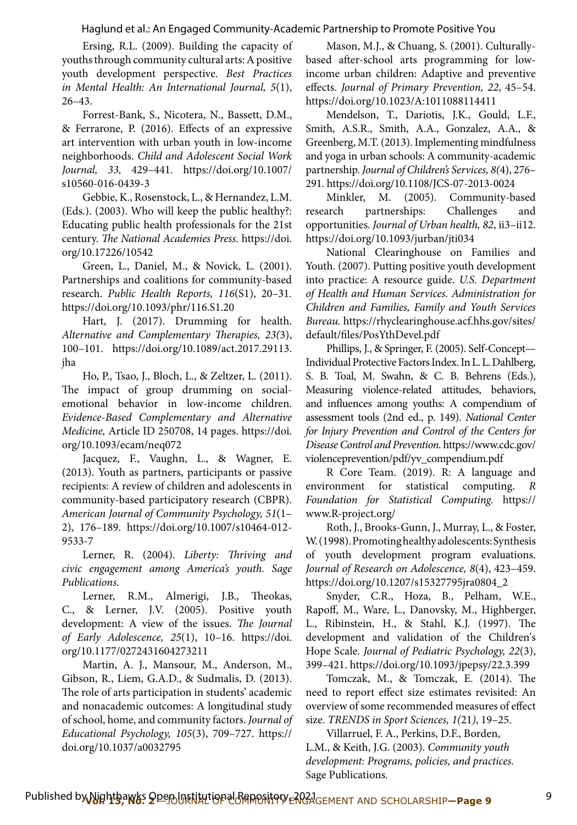Ersing, R.L. (2009). Building the capacity of youths through community cultural arts: A positive youth development perspective. *Best Practices in Mental Health: An International Journal, 5*(1), 26–43.

Forrest-Bank, S., Nicotera, N., Bassett, D.M., & Ferrarone, P. (2016). Efects of an expressive art intervention with urban youth in low-income neighborhoods. *Child and Adolescent Social Work Journal, 33,* 429–441*.* https://doi.org/10.1007/ s10560-016-0439-3

Gebbie, K., Rosenstock, L., & Hernandez, L.M. (Eds.). (2003). Who will keep the public healthy?: Educating public health professionals for the 21st century. *The National Academies Press.* https://doi. org/10.17226/10542

Green, L., Daniel, M., & Novick, L. (2001). Partnerships and coalitions for community-based research. *Public Health Reports, 116*(S1), 20–31*.*  https://doi.org/10.1093/phr/116.S1.20

Hart, J. (2017). Drumming for health. Alternative and Complementary Therapies, 23(3), 100–101. https://doi.org/10.1089/act.2017.29113. jha

Ho, P., Tsao, J., Bloch, L., & Zeltzer, L. (2011). The impact of group drumming on socialemotional behavior in low-income children. *Evidence-Based Complementary and Alternative Medicine,* Article ID 250708, 14 pages. https://doi. org/10.1093/ecam/neq072

Jacquez, F., Vaughn, L., & Wagner, E. (2013). Youth as partners, participants or passive recipients: A review of children and adolescents in community-based participatory research (CBPR). *American Journal of Community Psychology, 51*(1– 2), 176–189. https://doi.org/10.1007/s10464-012- 9533-7

Lerner, R. (2004). Liberty: Thriving and *civic engagement among America's youth. Sage Publications.* 

Lerner, R.M., Almerigi, J.B., Theokas, C., & Lerner, J.V. (2005). Positive youth development: A view of the issues. The Journal *of Early Adolescence, 25*(1), 10–16. https://doi. org/10.1177/0272431604273211

Martin, A. J., Mansour, M., Anderson, M., Gibson, R., Liem, G.A.D., & Sudmalis, D. (2013). The role of arts participation in students' academic and nonacademic outcomes: A longitudinal study of school, home, and community factors. *Journal of Educational Psychology, 105*(3), 709–727. https:// doi.org/10.1037/a0032795

Mason, M.J., & Chuang, S. (2001). Culturallybased afer-school arts programming for lowincome urban children: Adaptive and preventive efects. *Journal of Primary Prevention, 22*, 45–54. https://doi.org/10.1023/A:1011088114411

Mendelson, T., Dariotis, J.K., Gould, L.F., Smith, A.S.R., Smith, A.A., Gonzalez, A.A., & Greenberg, M.T. (2013). Implementing mindfulness and yoga in urban schools: A community-academic partnership. *Journal of Children's Services, 8(*4), 276– 291. https://doi.org/10.1108/JCS-07-2013-0024

Minkler, M. (2005). Community-based research partnerships: Challenges and opportunities. *Journal of Urban health, 82*, ii3–ii12. https://doi.org/10.1093/jurban/jti034

National Clearinghouse on Families and Youth. (2007). Putting positive youth development into practice: A resource guide. *U.S. Department of Health and Human Services. Administration for Children and Families, Family and Youth Services Bureau.* https://rhyclearinghouse.acf.hhs.gov/sites/ default/fles/PosYthDevel.pdf

Phillips, J., & Springer, F. (2005). Self-Concept— Individual Protective Factors Index. In L. L. Dahlberg, S. B. Toal, M. Swahn, & C. B. Behrens (Eds.), Measuring violence-related attitudes, behaviors, and infuences among youths: A compendium of assessment tools (2nd ed., p. 149). *National Center for Injury Prevention and Control of the Centers for Disease Control and Prevention.* https://www.cdc.gov/ violenceprevention/pdf/yv\_compendium.pdf

 *Foundation for Statistical Computing.* https:// R Core Team. (2019). R: A language and environment for statistical computing. *R*  www.R-project.org/

Roth, J., Brooks-Gunn, J., Murray, L., & Foster, W. (1998). Promoting healthy adolescents: Synthesis of youth development program evaluations. *Journal of Research on Adolescence, 8*(4), 423–459. https://doi.org/10.1207/s15327795jra0804\_2

Snyder, C.R., Hoza, B., Pelham, W.E., Rapof, M., Ware, L., Danovsky, M., Highberger, L., Ribinstein, H., & Stahl, K.J. (1997). The development and validation of the Children's Hope Scale. *Journal of Pediatric Psychology, 22*(3), 399–421. https://doi.org/10.1093/jpepsy/22.3.399

Tomczak, M., & Tomczak, E. (2014). The need to report effect size estimates revisited: An overview of some recommended measures of efect size. *TRENDS in Sport Sciences, 1(*21*)*, 19–25.

Villarruel, F. A., Perkins, D.F., Borden, L.M., & Keith, J.G. (2003). *Community youth development: Programs, policies, and practices.*  Sage Publications*.*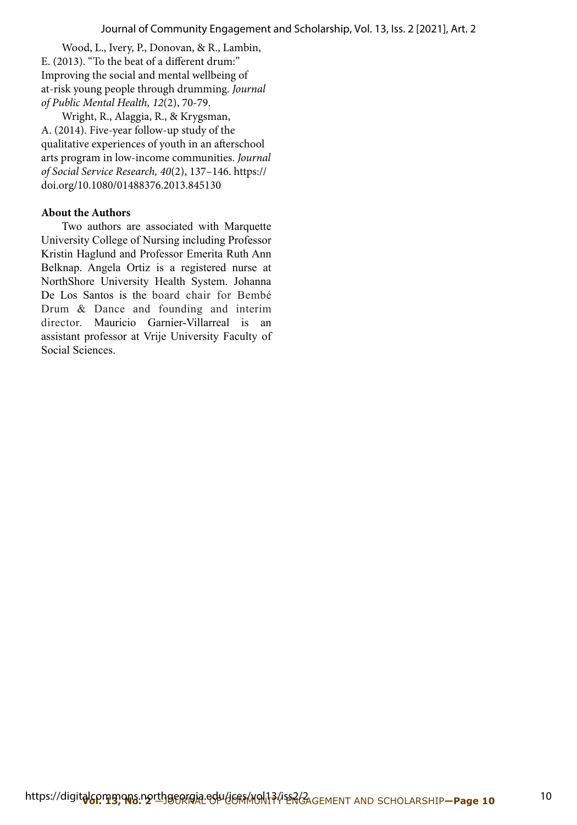Wood, L., Ivery, P., Donovan, & R., Lambin, E. (2013). "To the beat of a diferent drum:" Improving the social and mental wellbeing of at-risk young people through drumming. *Journal of Public Mental Health, 12*(2), 70-79.

Wright, R., Alaggia, R., & Krygsman, A. (2014). Five-year follow-up study of the qualitative experiences of youth in an aferschool arts program in low-income communities. *Journal of Social Service Research, 40*(2), 137–146. https:// doi.org/10.1080/01488376.2013.845130

# **About the Authors**

Two authors are associated with Marquette University College of Nursing including Professor Kristin Haglund and Professor Emerita Ruth Ann Belknap. Angela Ortiz is a registered nurse at NorthShore University Health System. Johanna De Los Santos is the board chair for Bembé Drum & Dance and founding and interim director. Mauricio Garnier-Villarreal is an assistant professor at Vrije University Faculty of Social Sciences.